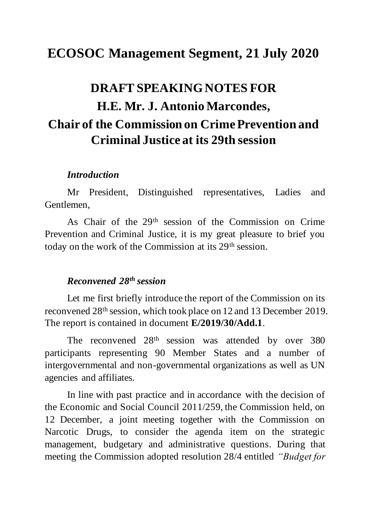# **ECOSOC Management Segment, 21 July 2020**

# **DRAFT SPEAKING NOTES FOR H.E. Mr. J. Antonio Marcondes, Chair of the Commission on Crime Prevention and Criminal Justice at its 29th session**

#### *Introduction*

Mr President, Distinguished representatives, Ladies and Gentlemen,

As Chair of the 29th session of the Commission on Crime Prevention and Criminal Justice, it is my great pleasure to brief you today on the work of the Commission at its 29th session.

#### *Reconvened 28th session*

Let me first briefly introduce the report of the Commission on its reconvened 28th session, which took place on 12 and 13 December 2019. The report is contained in document **E/2019/30/Add.1**.

The reconvened 28<sup>th</sup> session was attended by over 380 participants representing 90 Member States and a number of intergovernmental and non-governmental organizations as well as UN agencies and affiliates.

 In line with past practice and in accordance with the decision of the Economic and Social Council 2011/259, the Commission held, on 12 December, a joint meeting together with the Commission on Narcotic Drugs, to consider the agenda item on the strategic management, budgetary and administrative questions. During that meeting the Commission adopted resolution 28/4 entitled *"Budget for*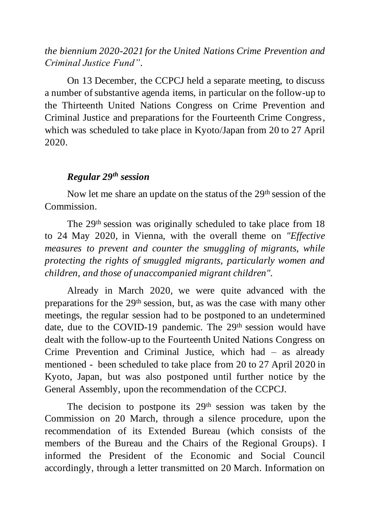# *the biennium 2020-2021 for the United Nations Crime Prevention and Criminal Justice Fund".*

On 13 December, the CCPCJ held a separate meeting, to discuss a number of substantive agenda items, in particular on the follow-up to the Thirteenth United Nations Congress on Crime Prevention and Criminal Justice and preparations for the Fourteenth Crime Congress, which was scheduled to take place in Kyoto/Japan from 20 to 27 April 2020.

### *Regular 29th session*

Now let me share an update on the status of the 29<sup>th</sup> session of the Commission.

The 29<sup>th</sup> session was originally scheduled to take place from 18 to 24 May 2020, in Vienna, with the overall theme on *"Effective measures to prevent and counter the smuggling of migrants, while protecting the rights of smuggled migrants, particularly women and children, and those of unaccompanied migrant children".*

Already in March 2020, we were quite advanced with the preparations for the 29th session, but, as was the case with many other meetings, the regular session had to be postponed to an undetermined date, due to the COVID-19 pandemic. The 29<sup>th</sup> session would have dealt with the follow-up to the Fourteenth United Nations Congress on Crime Prevention and Criminal Justice, which had – as already mentioned - been scheduled to take place from 20 to 27 April 2020 in Kyoto, Japan, but was also postponed until further notice by the General Assembly, upon the recommendation of the CCPCJ.

The decision to postpone its 29<sup>th</sup> session was taken by the Commission on 20 March, through a silence procedure, upon the recommendation of its Extended Bureau (which consists of the members of the Bureau and the Chairs of the Regional Groups). I informed the President of the Economic and Social Council accordingly, through a letter transmitted on 20 March. Information on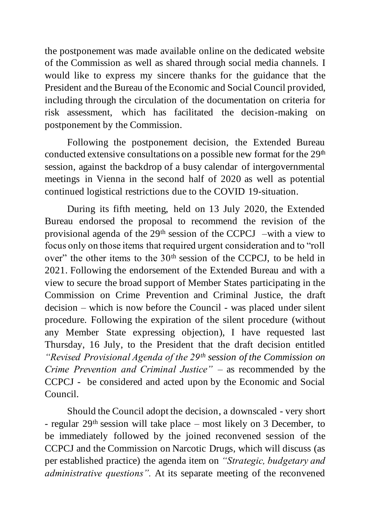the postponement was made available online on the dedicated website of the Commission as well as shared through social media channels. I would like to express my sincere thanks for the guidance that the President and the Bureau of the Economic and Social Council provided, including through the circulation of the documentation on criteria for risk assessment, which has facilitated the decision-making on postponement by the Commission.

Following the postponement decision, the Extended Bureau conducted extensive consultations on a possible new format for the  $29<sup>th</sup>$ session, against the backdrop of a busy calendar of intergovernmental meetings in Vienna in the second half of 2020 as well as potential continued logistical restrictions due to the COVID 19-situation.

During its fifth meeting, held on 13 July 2020, the Extended Bureau endorsed the proposal to recommend the revision of the provisional agenda of the 29th session of the CCPCJ –with a view to focus only on those items that required urgent consideration and to "roll over" the other items to the 30<sup>th</sup> session of the CCPCJ, to be held in 2021. Following the endorsement of the Extended Bureau and with a view to secure the broad support of Member States participating in the Commission on Crime Prevention and Criminal Justice, the draft decision – which is now before the Council - was placed under silent procedure. Following the expiration of the silent procedure (without any Member State expressing objection), I have requested last Thursday, 16 July, to the President that the draft decision entitled *"Revised Provisional Agenda of the 29th session of the Commission on Crime Prevention and Criminal Justice"* – as recommended by the CCPCJ - be considered and acted upon by the Economic and Social Council.

Should the Council adopt the decision, a downscaled - very short - regular 29th session will take place – most likely on 3 December, to be immediately followed by the joined reconvened session of the CCPCJ and the Commission on Narcotic Drugs, which will discuss (as per established practice) the agenda item on *"Strategic, budgetary and administrative questions".* At its separate meeting of the reconvened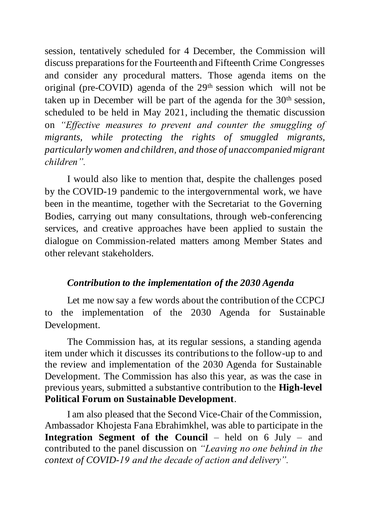session, tentatively scheduled for 4 December, the Commission will discuss preparations for the Fourteenth and Fifteenth Crime Congresses and consider any procedural matters. Those agenda items on the original (pre-COVID) agenda of the 29th session which will not be taken up in December will be part of the agenda for the  $30<sup>th</sup>$  session, scheduled to be held in May 2021, including the thematic discussion on *"Effective measures to prevent and counter the smuggling of migrants, while protecting the rights of smuggled migrants, particularly women and children, and those of unaccompanied migrant children".*

I would also like to mention that, despite the challenges posed by the COVID-19 pandemic to the intergovernmental work, we have been in the meantime, together with the Secretariat to the Governing Bodies, carrying out many consultations, through web-conferencing services, and creative approaches have been applied to sustain the dialogue on Commission-related matters among Member States and other relevant stakeholders.

## *Contribution to the implementation of the 2030 Agenda*

Let me now say a few words about the contribution of the CCPCJ to the implementation of the 2030 Agenda for Sustainable Development.

The Commission has, at its regular sessions, a standing agenda item under which it discusses its contributions to the follow-up to and the review and implementation of the 2030 Agenda for Sustainable Development. The Commission has also this year, as was the case in previous years, submitted a substantive contribution to the **High-level Political Forum on Sustainable Development**.

I am also pleased that the Second Vice-Chair of the Commission, Ambassador Khojesta Fana Ebrahimkhel, was able to participate in the **Integration Segment of the Council** – held on 6 July – and contributed to the panel discussion on *"Leaving no one behind in the context of COVID-19 and the decade of action and delivery".*